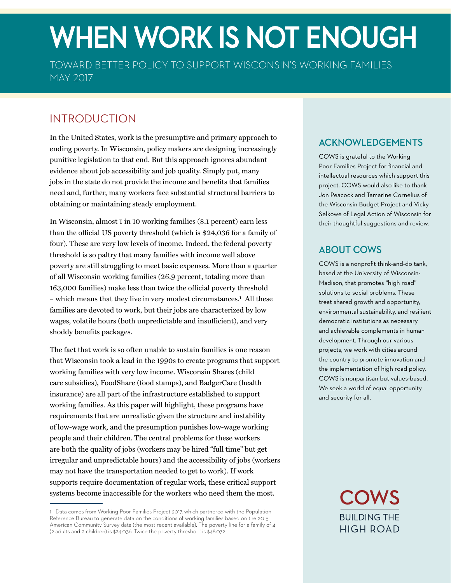# WHEN WORK IS NOT ENOUGH

TOWARD BETTER POLICY TO SUPPORT WISCONSIN'S WORKING FAMILIES MAY 2017

# INTRODUCTION

In the United States, work is the presumptive and primary approach to ending poverty. In Wisconsin, policy makers are designing increasingly punitive legislation to that end. But this approach ignores abundant evidence about job accessibility and job quality. Simply put, many jobs in the state do not provide the income and benefits that families need and, further, many workers face substantial structural barriers to obtaining or maintaining steady employment.

In Wisconsin, almost 1 in 10 working families (8.1 percent) earn less than the official US poverty threshold (which is \$24,036 for a family of four). These are very low levels of income. Indeed, the federal poverty threshold is so paltry that many families with income well above poverty are still struggling to meet basic expenses. More than a quarter of all Wisconsin working families (26.9 percent, totaling more than 163,000 families) make less than twice the official poverty threshold – which means that they live in very modest circumstances.<sup>1</sup> All these families are devoted to work, but their jobs are characterized by low wages, volatile hours (both unpredictable and insufficient), and very shoddy benefits packages.

The fact that work is so often unable to sustain families is one reason that Wisconsin took a lead in the 1990s to create programs that support working families with very low income. Wisconsin Shares (child care subsidies), FoodShare (food stamps), and BadgerCare (health insurance) are all part of the infrastructure established to support working families. As this paper will highlight, these programs have requirements that are unrealistic given the structure and instability of low-wage work, and the presumption punishes low-wage working people and their children. The central problems for these workers are both the quality of jobs (workers may be hired "full time" but get irregular and unpredictable hours) and the accessibility of jobs (workers may not have the transportation needed to get to work). If work supports require documentation of regular work, these critical support systems become inaccessible for the workers who need them the most.

# **ACKNOWLEDGEMENTS**

COWS is grateful to the Working Poor Families Project for financial and intellectual resources which support this project. COWS would also like to thank Jon Peacock and Tamarine Cornelius of the Wisconsin Budget Project and Vicky Selkowe of Legal Action of Wisconsin for their thoughtful suggestions and review.

## **ABOUT COWS**

COWS is a nonprofit think-and-do tank, based at the University of Wisconsin-Madison, that promotes "high road" solutions to social problems. These treat shared growth and opportunity, environmental sustainability, and resilient democratic institutions as necessary and achievable complements in human development. Through our various projects, we work with cities around the country to promote innovation and the implementation of high road policy. COWS is nonpartisan but values-based. We seek a world of equal opportunity and security for all.



<sup>1</sup> Data comes from Working Poor Families Project 2017, which partnered with the Population Reference Bureau to generate data on the conditions of working families based on the 2015 American Community Survey data (the most recent available). The poverty line for a family of 4 (2 adults and 2 children) is \$24,036. Twice the poverty threshold is \$48,072.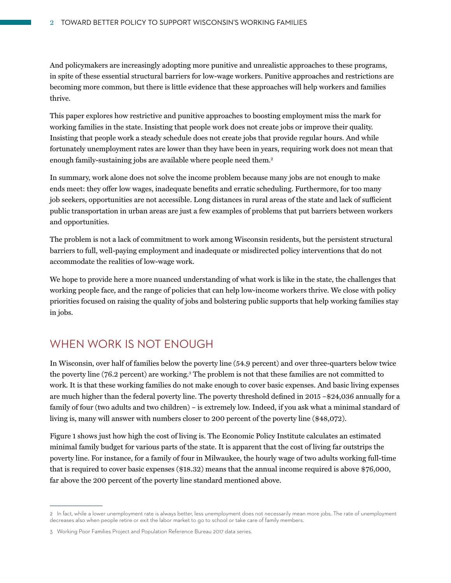And policymakers are increasingly adopting more punitive and unrealistic approaches to these programs, in spite of these essential structural barriers for low-wage workers. Punitive approaches and restrictions are becoming more common, but there is little evidence that these approaches will help workers and families thrive.

This paper explores how restrictive and punitive approaches to boosting employment miss the mark for working families in the state. Insisting that people work does not create jobs or improve their quality. Insisting that people work a steady schedule does not create jobs that provide regular hours. And while fortunately unemployment rates are lower than they have been in years, requiring work does not mean that enough family-sustaining jobs are available where people need them.<sup>2</sup>

In summary, work alone does not solve the income problem because many jobs are not enough to make ends meet: they offer low wages, inadequate benefits and erratic scheduling. Furthermore, for too many job seekers, opportunities are not accessible. Long distances in rural areas of the state and lack of sufficient public transportation in urban areas are just a few examples of problems that put barriers between workers and opportunities.

The problem is not a lack of commitment to work among Wisconsin residents, but the persistent structural barriers to full, well-paying employment and inadequate or misdirected policy interventions that do not accommodate the realities of low-wage work.

We hope to provide here a more nuanced understanding of what work is like in the state, the challenges that working people face, and the range of policies that can help low-income workers thrive. We close with policy priorities focused on raising the quality of jobs and bolstering public supports that help working families stay in jobs.

## WHEN WORK IS NOT ENOUGH

In Wisconsin, over half of families below the poverty line (54.9 percent) and over three-quarters below twice the poverty line (76.2 percent) are working.3 The problem is not that these families are not committed to work. It is that these working families do not make enough to cover basic expenses. And basic living expenses are much higher than the federal poverty line. The poverty threshold defined in 2015 –\$24,036 annually for a family of four (two adults and two children) – is extremely low. Indeed, if you ask what a minimal standard of living is, many will answer with numbers closer to 200 percent of the poverty line (\$48,072).

Figure 1 shows just how high the cost of living is. The Economic Policy Institute calculates an estimated minimal family budget for various parts of the state. It is apparent that the cost of living far outstrips the poverty line. For instance, for a family of four in Milwaukee, the hourly wage of two adults working full-time that is required to cover basic expenses (\$18.32) means that the annual income required is above \$76,000, far above the 200 percent of the poverty line standard mentioned above.

<sup>2</sup> In fact, while a lower unemployment rate is always better, less unemployment does not necessarily mean more jobs. The rate of unemployment decreases also when people retire or exit the labor market to go to school or take care of family members.

<sup>3</sup> Working Poor Families Project and Population Reference Bureau 2017 data series.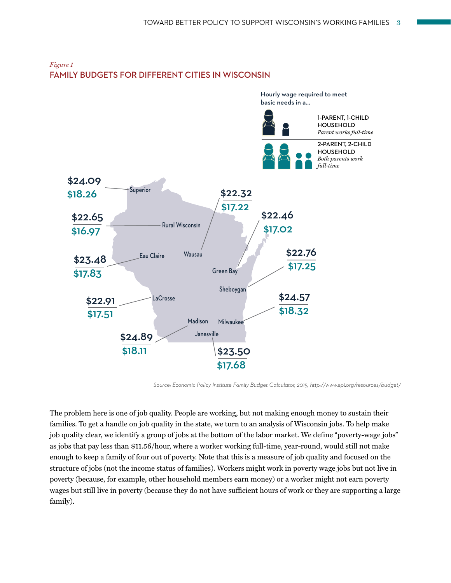

#### *Figure 1* **FAMILY BUDGETS FOR DIFFERENT CITIES IN WISCONSIN**

*Source: Economic Policy Institute Family Budget Calculator, 2015, http://www.epi.org/resources/budget/*

The problem here is one of job quality. People are working, but not making enough money to sustain their families. To get a handle on job quality in the state, we turn to an analysis of Wisconsin jobs. To help make job quality clear, we identify a group of jobs at the bottom of the labor market. We define "poverty-wage jobs" as jobs that pay less than \$11.56/hour, where a worker working full-time, year-round, would still not make enough to keep a family of four out of poverty. Note that this is a measure of job quality and focused on the structure of jobs (not the income status of families). Workers might work in poverty wage jobs but not live in poverty (because, for example, other household members earn money) or a worker might not earn poverty wages but still live in poverty (because they do not have sufficient hours of work or they are supporting a large family).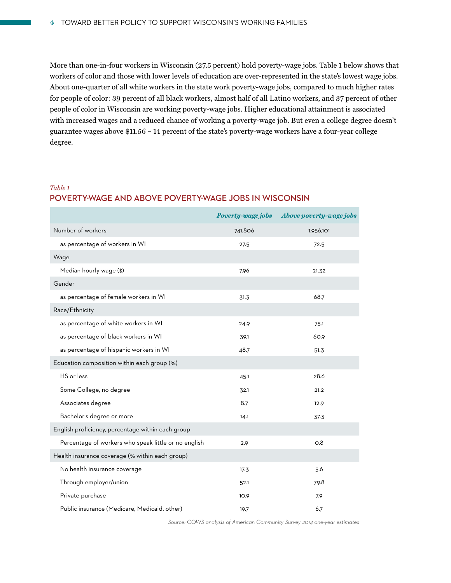More than one-in-four workers in Wisconsin (27.5 percent) hold poverty-wage jobs. Table 1 below shows that workers of color and those with lower levels of education are over-represented in the state's lowest wage jobs. About one-quarter of all white workers in the state work poverty-wage jobs, compared to much higher rates for people of color: 39 percent of all black workers, almost half of all Latino workers, and 37 percent of other people of color in Wisconsin are working poverty-wage jobs. Higher educational attainment is associated with increased wages and a reduced chance of working a poverty-wage job. But even a college degree doesn't guarantee wages above \$11.56 – 14 percent of the state's poverty-wage workers have a four-year college degree.

## *Table 1* **POVERTY-WAGE AND ABOVE POVERTY-WAGE JOBS IN WISCONSIN**

|                                                      |         | Poverty-wage jobs Above poverty-wage jobs |
|------------------------------------------------------|---------|-------------------------------------------|
| Number of workers                                    | 741,806 | 1,956,101                                 |
| as percentage of workers in WI                       | 27.5    | 72.5                                      |
| Wage                                                 |         |                                           |
| Median hourly wage (\$)                              | 7.96    | 21.32                                     |
| Gender                                               |         |                                           |
| as percentage of female workers in WI                | 31.3    | 68.7                                      |
| Race/Ethnicity                                       |         |                                           |
| as percentage of white workers in WI                 | 24.9    | 75.1                                      |
| as percentage of black workers in WI                 | 39.1    | 60.9                                      |
| as percentage of hispanic workers in WI              | 48.7    | 51.3                                      |
| Education composition within each group (%)          |         |                                           |
| HS or less                                           | 45.1    | 28.6                                      |
| Some College, no degree                              | 32.1    | 21.2                                      |
| Associates degree                                    | 8.7     | 12.9                                      |
| Bachelor's degree or more                            | 14.1    | 37.3                                      |
| English proficiency, percentage within each group    |         |                                           |
| Percentage of workers who speak little or no english | 2.9     | O.8                                       |
| Health insurance coverage (% within each group)      |         |                                           |
| No health insurance coverage                         | 17.3    | 5.6                                       |
| Through employer/union                               | 52.1    | 79.8                                      |
| Private purchase                                     | 10.9    | 7.9                                       |
| Public insurance (Medicare, Medicaid, other)         | 19.7    | 6.7                                       |

*Source: COWS analysis of American Community Survey 2014 one-year estimates*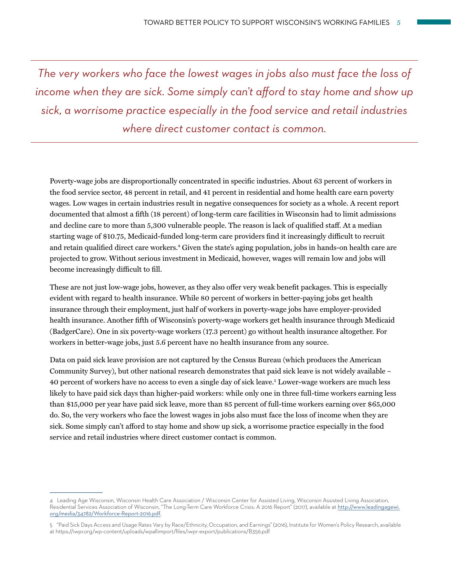*The very workers who face the lowest wages in jobs also must face the loss of*  income when they are sick. Some simply can't afford to stay home and show up *sick, a worrisome practice especially in the food service and retail industries where direct customer contact is common.* 

Poverty-wage jobs are disproportionally concentrated in specific industries. About 63 percent of workers in the food service sector, 48 percent in retail, and 41 percent in residential and home health care earn poverty wages. Low wages in certain industries result in negative consequences for society as a whole. A recent report documented that almost a fifth (18 percent) of long-term care facilities in Wisconsin had to limit admissions and decline care to more than 5,300 vulnerable people. The reason is lack of qualified staff. At a median starting wage of \$10.75, Medicaid-funded long-term care providers find it increasingly difficult to recruit and retain qualified direct care workers.4 Given the state's aging population, jobs in hands-on health care are projected to grow. Without serious investment in Medicaid, however, wages will remain low and jobs will become increasingly difficult to fill.

These are not just low-wage jobs, however, as they also offer very weak benefit packages. This is especially evident with regard to health insurance. While 80 percent of workers in better-paying jobs get health insurance through their employment, just half of workers in poverty-wage jobs have employer-provided health insurance. Another fifth of Wisconsin's poverty-wage workers get health insurance through Medicaid (BadgerCare). One in six poverty-wage workers (17.3 percent) go without health insurance altogether. For workers in better-wage jobs, just 5.6 percent have no health insurance from any source.

Data on paid sick leave provision are not captured by the Census Bureau (which produces the American Community Survey), but other national research demonstrates that paid sick leave is not widely available – 40 percent of workers have no access to even a single day of sick leave.5 Lower-wage workers are much less likely to have paid sick days than higher-paid workers: while only one in three full-time workers earning less than \$15,000 per year have paid sick leave, more than 85 percent of full-time workers earning over \$65,000 do. So, the very workers who face the lowest wages in jobs also must face the loss of income when they are sick. Some simply can't afford to stay home and show up sick, a worrisome practice especially in the food service and retail industries where direct customer contact is common.

<sup>4</sup> Leading Age Wisconsin, Wisconsin Health Care Association / Wisconsin Center for Assisted Living, Wisconsin Assisted Living Association, Residential Services Association of Wisconsin, "The Long-Term Care Workforce Crisis: A 2016 Report" (2017), available at [http://www.leadingagewi.](http://www.leadingagewi.org/media/34782/Workforce-Report-2016.pdf) [org/media/34782/Workforce-Report-2016.pdf](http://www.leadingagewi.org/media/34782/Workforce-Report-2016.pdf).

<sup>5 &</sup>quot;Paid Sick Days Access and Usage Rates Vary by Race/Ethnicity, Occupation, and Earnings" (2016), Institute for Women's Policy Research, available at <https://iwpr.org/wp-content/uploads/wpallimport/files/iwpr-export/publications/B356.pdf>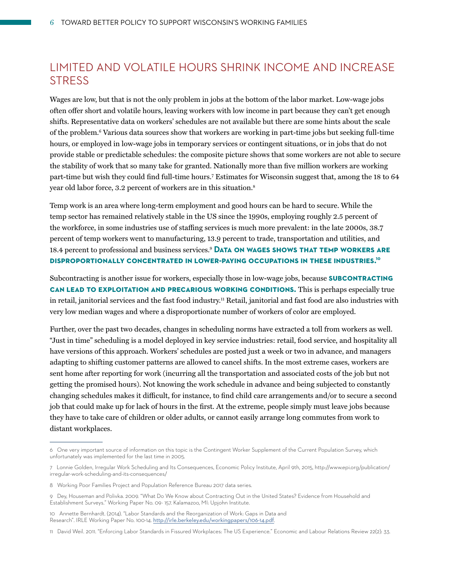## LIMITED AND VOLATILE HOURS SHRINK INCOME AND INCREASE **STRESS**

Wages are low, but that is not the only problem in jobs at the bottom of the labor market. Low-wage jobs often offer short and volatile hours, leaving workers with low income in part because they can't get enough shifts. Representative data on workers' schedules are not available but there are some hints about the scale of the problem.6 Various data sources show that workers are working in part-time jobs but seeking full-time hours, or employed in low-wage jobs in temporary services or contingent situations, or in jobs that do not provide stable or predictable schedules: the composite picture shows that some workers are not able to secure the stability of work that so many take for granted. Nationally more than five million workers are working part-time but wish they could find full-time hours.7 Estimates for Wisconsin suggest that, among the 18 to 64 year old labor force, 3.2 percent of workers are in this situation.<sup>8</sup>

Temp work is an area where long-term employment and good hours can be hard to secure. While the temp sector has remained relatively stable in the US since the 1990s, employing roughly 2.5 percent of the workforce, in some industries use of staffing services is much more prevalent: in the late 2000s, 38.7 percent of temp workers went to manufacturing, 13.9 percent to trade, transportation and utilities, and 18.4 percent to professional and business services.9 **Data on wages shows that temp workers are disproportionally concentrated in lower-paying occupations in these industries. 10**

Subcontracting is another issue for workers, especially those in low-wage jobs, because **subcontracting can lead to exploitation and precarious working conditions.** This is perhaps especially true in retail, janitorial services and the fast food industry.<sup>11</sup> Retail, janitorial and fast food are also industries with very low median wages and where a disproportionate number of workers of color are employed.

Further, over the past two decades, changes in scheduling norms have extracted a toll from workers as well. "Just in time" scheduling is a model deployed in key service industries: retail, food service, and hospitality all have versions of this approach. Workers' schedules are posted just a week or two in advance, and managers adapting to shifting customer patterns are allowed to cancel shifts. In the most extreme cases, workers are sent home after reporting for work (incurring all the transportation and associated costs of the job but not getting the promised hours). Not knowing the work schedule in advance and being subjected to constantly changing schedules makes it difficult, for instance, to find child care arrangements and/or to secure a second job that could make up for lack of hours in the first. At the extreme, people simply must leave jobs because they have to take care of children or older adults, or cannot easily arrange long commutes from work to distant workplaces.

<sup>6</sup> One very important source of information on this topic is the Contingent Worker Supplement of the Current Population Survey, which unfortunately was implemented for the last time in 2005.

<sup>7</sup> Lonnie Golden, Irregular Work Scheduling and Its Consequences, Economic Policy Institute, April 9th, 2015, http://www.epi.org/publication/ irregular-work-scheduling-and-its-consequences/

<sup>8</sup> Working Poor Families Project and Population Reference Bureau 2017 data series.

<sup>9</sup> Dey, Houseman and Polivka. 2009. "What Do We Know about Contracting Out in the United States? Evidence from Household and Establishment Surveys." Working Paper No. 09- 157. Kalamazoo, MI: Upjohn Institute.

<sup>10</sup> Annette Bernhardt. (2014). "Labor Standards and the Reorganization of Work: Gaps in Data and Research". IRLE Working Paper No. 100-14. <http://irle.berkeley.edu/workingpapers/106-14.pdf>.

<sup>11</sup> David Weil. 2011. "Enforcing Labor Standards in Fissured Workplaces: The US Experience." Economic and Labour Relations Review 22(2): 33.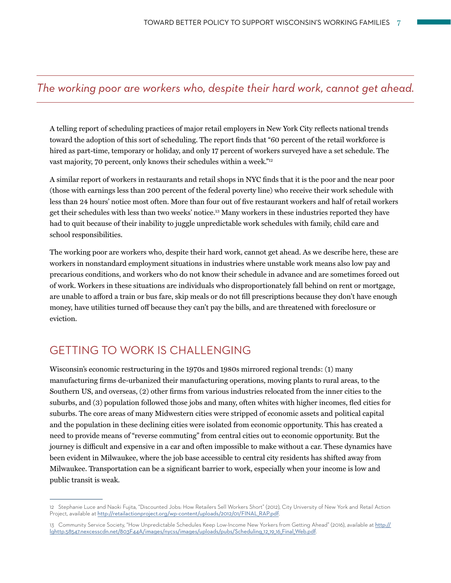## *The working poor are workers who, despite their hard work, cannot get ahead.*

A telling report of scheduling practices of major retail employers in New York City reflects national trends toward the adoption of this sort of scheduling. The report finds that "60 percent of the retail workforce is hired as part-time, temporary or holiday, and only 17 percent of workers surveyed have a set schedule. The vast majority, 70 percent, only knows their schedules within a week."<sup>12</sup>

A similar report of workers in restaurants and retail shops in NYC finds that it is the poor and the near poor (those with earnings less than 200 percent of the federal poverty line) who receive their work schedule with less than 24 hours' notice most often. More than four out of five restaurant workers and half of retail workers get their schedules with less than two weeks' notice.13 Many workers in these industries reported they have had to quit because of their inability to juggle unpredictable work schedules with family, child care and school responsibilities.

The working poor are workers who, despite their hard work, cannot get ahead. As we describe here, these are workers in nonstandard employment situations in industries where unstable work means also low pay and precarious conditions, and workers who do not know their schedule in advance and are sometimes forced out of work. Workers in these situations are individuals who disproportionately fall behind on rent or mortgage, are unable to afford a train or bus fare, skip meals or do not fill prescriptions because they don't have enough money, have utilities turned off because they can't pay the bills, and are threatened with foreclosure or eviction.

## GETTING TO WORK IS CHALLENGING

Wisconsin's economic restructuring in the 1970s and 1980s mirrored regional trends: (1) many manufacturing firms de-urbanized their manufacturing operations, moving plants to rural areas, to the Southern US, and overseas, (2) other firms from various industries relocated from the inner cities to the suburbs, and (3) population followed those jobs and many, often whites with higher incomes, fled cities for suburbs. The core areas of many Midwestern cities were stripped of economic assets and political capital and the population in these declining cities were isolated from economic opportunity. This has created a need to provide means of "reverse commuting" from central cities out to economic opportunity. But the journey is difficult and expensive in a car and often impossible to make without a car. These dynamics have been evident in Milwaukee, where the job base accessible to central city residents has shifted away from Milwaukee. Transportation can be a significant barrier to work, especially when your income is low and public transit is weak.

<sup>12</sup> Stephanie Luce and Naoki Fujita, "Discounted Jobs: How Retailers Sell Workers Short" (2012), City University of New York and Retail Action Project, available at [http://retailactionproject.org/wp-content/uploads/2012/01/FINAL\\_RAP.pdf](http://retailactionproject.org/wp-content/uploads/2012/01/FINAL_RAP.pdf).

<sup>13</sup> Community Service Society, "How Unpredictable Schedules Keep Low-Income New Yorkers from Getting Ahead" (2016), available at [http://](http://lghttp.58547.nexcesscdn.net/803F44A/images/nycss/images/uploads/pubs/Scheduling_12_19_16_Final_Web.pdf) [lghttp.58547.nexcesscdn.net/803F44A/images/nycss/images/uploads/pubs/Scheduling\\_12\\_19\\_16\\_Final\\_Web.pdf](http://lghttp.58547.nexcesscdn.net/803F44A/images/nycss/images/uploads/pubs/Scheduling_12_19_16_Final_Web.pdf).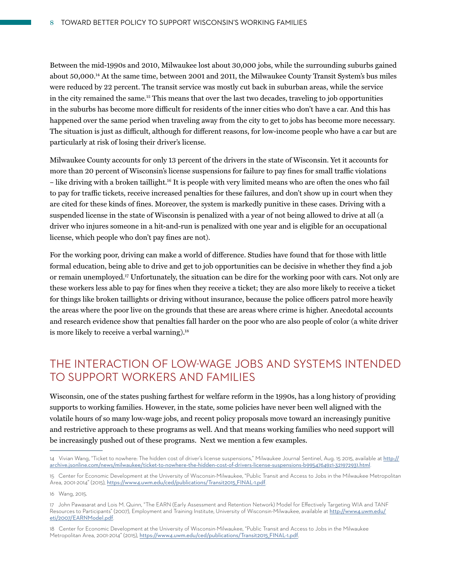Between the mid-1990s and 2010, Milwaukee lost about 30,000 jobs, while the surrounding suburbs gained about 50,000.14 At the same time, between 2001 and 2011, the Milwaukee County Transit System's bus miles were reduced by 22 percent. The transit service was mostly cut back in suburban areas, while the service in the city remained the same.15 This means that over the last two decades, traveling to job opportunities in the suburbs has become more difficult for residents of the inner cities who don't have a car. And this has happened over the same period when traveling away from the city to get to jobs has become more necessary. The situation is just as difficult, although for different reasons, for low-income people who have a car but are particularly at risk of losing their driver's license.

Milwaukee County accounts for only 13 percent of the drivers in the state of Wisconsin. Yet it accounts for more than 20 percent of Wisconsin's license suspensions for failure to pay fines for small traffic violations – like driving with a broken taillight.16 It is people with very limited means who are often the ones who fail to pay for traffic tickets, receive increased penalties for these failures, and don't show up in court when they are cited for these kinds of fines. Moreover, the system is markedly punitive in these cases. Driving with a suspended license in the state of Wisconsin is penalized with a year of not being allowed to drive at all (a driver who injures someone in a hit-and-run is penalized with one year and is eligible for an occupational license, which people who don't pay fines are not).

For the working poor, driving can make a world of difference. Studies have found that for those with little formal education, being able to drive and get to job opportunities can be decisive in whether they find a job or remain unemployed.17 Unfortunately, the situation can be dire for the working poor with cars. Not only are these workers less able to pay for fines when they receive a ticket; they are also more likely to receive a ticket for things like broken taillights or driving without insurance, because the police officers patrol more heavily the areas where the poor live on the grounds that these are areas where crime is higher. Anecdotal accounts and research evidence show that penalties fall harder on the poor who are also people of color (a white driver is more likely to receive a verbal warning).<sup>18</sup>

# THE INTERACTION OF LOW-WAGE JOBS AND SYSTEMS INTENDED TO SUPPORT WORKERS AND FAMILIES

Wisconsin, one of the states pushing farthest for welfare reform in the 1990s, has a long history of providing supports to working families. However, in the state, some policies have never been well aligned with the volatile hours of so many low-wage jobs, and recent policy proposals move toward an increasingly punitive and restrictive approach to these programs as well. And that means working families who need support will be increasingly pushed out of these programs. Next we mention a few examples.

<sup>14</sup> Vivian Wang, "Ticket to nowhere: The hidden cost of driver's license suspensions," Milwaukee Journal Sentinel, Aug. 15 2015, available at [http://](http://archive.jsonline.com/news/milwaukee/ticket-to-nowhere-the-hidden-cost-of-drivers-license-suspensions-b99547649z1-321972931.html) [archive.jsonline.com/news/milwaukee/ticket-to-nowhere-the-hidden-cost-of-drivers-license-suspensions-b99547649z1-321972931.html](http://archive.jsonline.com/news/milwaukee/ticket-to-nowhere-the-hidden-cost-of-drivers-license-suspensions-b99547649z1-321972931.html).

<sup>15</sup> Center for Economic Development at the University of Wisconsin-Milwaukee, "Public Transit and Access to Jobs in the Milwaukee Metropolitan Area, 2001-2014" (2015), [https://www4.uwm.edu/ced/publications/Transit2015\\_FINAL-1.pdf](https://www4.uwm.edu/ced/publications/Transit2015_FINAL-1.pdf).

<sup>16</sup> Wang, 2015.

<sup>17</sup> John Pawasarat and Lois M. Quinn, "The EARN (Early Assessment and Retention Network) Model for Effectively Targeting WIA and TANF Resources to Participants" (2007), Employment and Training Institute, University of Wisconsin-Milwaukee, available at [http://www4.uwm.edu/](http://www4.uwm.edu/eti/2007/EARNModel.pdf) [eti/2007/EARNModel.pdf](http://www4.uwm.edu/eti/2007/EARNModel.pdf).

<sup>18</sup> Center for Economic Development at the University of Wisconsin-Milwaukee, "Public Transit and Access to Jobs in the Milwaukee Metropolitan Area, 2001-2014" (2015), [https://www4.uwm.edu/ced/publications/Transit2015\\_FINAL-1.pdf](https://www4.uwm.edu/ced/publications/Transit2015_FINAL-1.pdf).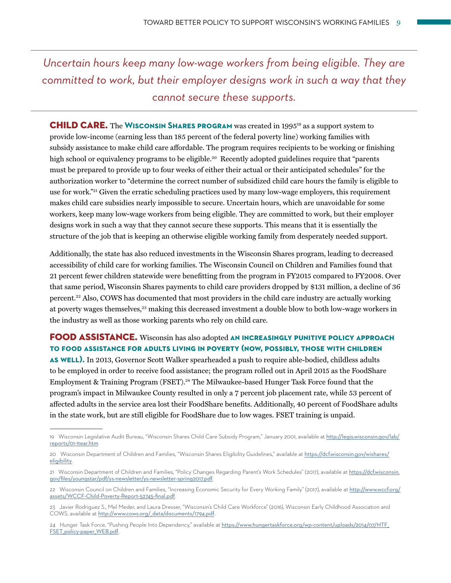*Uncertain hours keep many low-wage workers from being eligible. They are committed to work, but their employer designs work in such a way that they cannot secure these supports.* 

CHILD CARE. The **Wisconsin Shares program** was created in 199519 as a support system to provide low-income (earning less than 185 percent of the federal poverty line) working families with subsidy assistance to make child care affordable. The program requires recipients to be working or finishing high school or equivalency programs to be eligible.<sup>20</sup> Recently adopted guidelines require that "parents" must be prepared to provide up to four weeks of either their actual or their anticipated schedules" for the authorization worker to "determine the correct number of subsidized child care hours the family is eligible to use for work."<sup>21</sup> Given the erratic scheduling practices used by many low-wage employers, this requirement makes child care subsidies nearly impossible to secure. Uncertain hours, which are unavoidable for some workers, keep many low-wage workers from being eligible. They are committed to work, but their employer designs work in such a way that they cannot secure these supports. This means that it is essentially the structure of the job that is keeping an otherwise eligible working family from desperately needed support.

Additionally, the state has also reduced investments in the Wisconsin Shares program, leading to decreased accessibility of child care for working families. The Wisconsin Council on Children and Families found that 21 percent fewer children statewide were benefitting from the program in FY2015 compared to FY2008. Over that same period, Wisconsin Shares payments to child care providers dropped by \$131 million, a decline of 36 percent.22 Also, COWS has documented that most providers in the child care industry are actually working at poverty wages themselves,<sup>23</sup> making this decreased investment a double blow to both low-wage workers in the industry as well as those working parents who rely on child care.

FOOD ASSISTANCE. Wisconsin has also adopted **an increasingly punitive policy approach to food assistance for adults living in poverty (now, possibly, those with children as well).** In 2013, Governor Scott Walker spearheaded a push to require able-bodied, childless adults to be employed in order to receive food assistance; the program rolled out in April 2015 as the FoodShare Employment & Training Program (FSET).<sup>24</sup> The Milwaukee-based Hunger Task Force found that the program's impact in Milwaukee County resulted in only a 7 percent job placement rate, while 53 percent of affected adults in the service area lost their FoodShare benefits. Additionally, 40 percent of FoodShare adults in the state work, but are still eligible for FoodShare due to low wages. FSET training is unpaid.

<sup>19</sup> Wisconsin Legislative Audit Bureau, "Wisconsin Shares Child Care Subsidy Program," January 2001, available at [http://legis.wisconsin.gov/lab/](http://legis.wisconsin.gov/lab/reports/01-1tear.htm) [reports/01-1tear.htm](http://legis.wisconsin.gov/lab/reports/01-1tear.htm).

<sup>20</sup> Wisconsin Department of Children and Families, "Wisconsin Shares Eligibility Guidelines," available at [https://dcf.wisconsin.gov/wishares/](https://dcf.wisconsin.gov/wishares/eligibility) [eligibility](https://dcf.wisconsin.gov/wishares/eligibility).

<sup>21</sup> Wisconsin Department of Children and Families, "Policy Changes Regarding Parent's Work Schedules" (2017), available at [https://dcf.wisconsin.](https://dcf.wisconsin.gov/files/youngstar/pdf/ys-newsletter/ys-newsletter-spring2017.pdf) [gov/files/youngstar/pdf/ys-newsletter/ys-newsletter-spring2017.pdf](https://dcf.wisconsin.gov/files/youngstar/pdf/ys-newsletter/ys-newsletter-spring2017.pdf).

Wisconsin Council on Children and Families, "Increasing Economic Security for Every Working Family" (2017), available at [http://www.wccf.org/](http://www.wccf.org/assets/WCCF-Child-Poverty-Report-52745-final.pdf) [assets/WCCF-Child-Poverty-Report-52745-final.pdf](http://www.wccf.org/assets/WCCF-Child-Poverty-Report-52745-final.pdf).

<sup>23</sup> Javier Rodriguez S., Mel Meder, and Laura Dresser, "Wisconsin's Child Care Workforce" (2016), Wisconsin Early Childhood Association and COWS, available at [http://www.cows.org/\\_data/documents/1794.pdf](http://www.cows.org/_data/documents/1794.pdf).

<sup>24</sup> Hunger Task Force, "Pushing People Into Dependency," available at [https://www.hungertaskforce.org/wp-content/uploads/2014/07/HTF\\_](https://www.hungertaskforce.org/wp-content/uploads/2014/07/HTF_FSET_policy-paper_WEB.pdf) [FSET\\_policy-paper\\_WEB.pdf](https://www.hungertaskforce.org/wp-content/uploads/2014/07/HTF_FSET_policy-paper_WEB.pdf).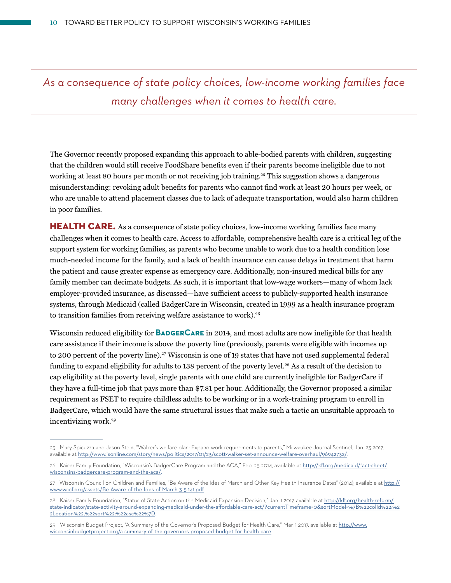*As a consequence of state policy choices, low-income working families face many challenges when it comes to health care.* 

The Governor recently proposed expanding this approach to able-bodied parents with children, suggesting that the children would still receive FoodShare benefits even if their parents become ineligible due to not working at least 80 hours per month or not receiving job training.<sup>25</sup> This suggestion shows a dangerous misunderstanding: revoking adult benefits for parents who cannot find work at least 20 hours per week, or who are unable to attend placement classes due to lack of adequate transportation, would also harm children in poor families.

HEALTH CARE. As a consequence of state policy choices, low-income working families face many challenges when it comes to health care. Access to affordable, comprehensive health care is a critical leg of the support system for working families, as parents who become unable to work due to a health condition lose much-needed income for the family, and a lack of health insurance can cause delays in treatment that harm the patient and cause greater expense as emergency care. Additionally, non-insured medical bills for any family member can decimate budgets. As such, it is important that low-wage workers—many of whom lack employer-provided insurance, as discussed—have sufficient access to publicly-supported health insurance systems, through Medicaid (called BadgerCare in Wisconsin, created in 1999 as a health insurance program to transition families from receiving welfare assistance to work).<sup>26</sup>

Wisconsin reduced eligibility for **BadgerCare** in 2014, and most adults are now ineligible for that health care assistance if their income is above the poverty line (previously, parents were eligible with incomes up to 200 percent of the poverty line).<sup>27</sup> Wisconsin is one of 19 states that have not used supplemental federal funding to expand eligibility for adults to 138 percent of the poverty level.<sup>28</sup> As a result of the decision to cap eligibility at the poverty level, single parents with one child are currently ineligible for BadgerCare if they have a full-time job that pays more than \$7.81 per hour. Additionally, the Governor proposed a similar requirement as FSET to require childless adults to be working or in a work-training program to enroll in BadgerCare, which would have the same structural issues that make such a tactic an unsuitable approach to incentivizing work.29

<sup>25</sup> Mary Spicuzza and Jason Stein, "Walker's welfare plan: Expand work requirements to parents," Milwaukee Journal Sentinel, Jan. 23 2017, available at <http://www.jsonline.com/story/news/politics/2017/01/23/scott-walker-set-announce-welfare-overhaul/96942732/>.

<sup>26</sup> Kaiser Family Foundation, "Wisconsin's BadgerCare Program and the ACA," Feb. 25 2014, available at [http://kff.org/medicaid/fact-sheet/](http://kff.org/medicaid/fact-sheet/wisconsins-badgercare-program-and-the-aca/) [wisconsins-badgercare-program-and-the-aca/](http://kff.org/medicaid/fact-sheet/wisconsins-badgercare-program-and-the-aca/).

<sup>27</sup> Wisconsin Council on Children and Families, "Be Aware of the Ides of March and Other Key Health Insurance Dates" (2014), available at [http://](http://www.wccf.org/assets/Be-Aware-of-the-Ides-of-March-3-5-141.pdf) [www.wccf.org/assets/Be-Aware-of-the-Ides-of-March-3-5-141.pdf](http://www.wccf.org/assets/Be-Aware-of-the-Ides-of-March-3-5-141.pdf).

<sup>28</sup> Kaiser Family Foundation, "Status of State Action on the Medicaid Expansion Decision," Jan. 12017, available at [http://kff.org/health-reform/](http://kff.org/health-reform/state-indicator/state-activity-around-expanding-medicaid-under-the-affordable-care-act/?currentTimeframe=0&sortModel=%7B%22colId%22:%22Location%22,%22sort%22:%22asc%22%7D) [state-indicator/state-activity-around-expanding-medicaid-under-the-affordable-care-act/?currentTimeframe=0&sortModel=%7B%22colId%22:%2](http://kff.org/health-reform/state-indicator/state-activity-around-expanding-medicaid-under-the-affordable-care-act/?currentTimeframe=0&sortModel=%7B%22colId%22:%22Location%22,%22sort%22:%22asc%22%7D) [2Location%22,%22sort%22:%22asc%22%7D](http://kff.org/health-reform/state-indicator/state-activity-around-expanding-medicaid-under-the-affordable-care-act/?currentTimeframe=0&sortModel=%7B%22colId%22:%22Location%22,%22sort%22:%22asc%22%7D).

<sup>29</sup> Wisconsin Budget Project, "A Summary of the Governor's Proposed Budget for Health Care," Mar. 1 2017, available at [http://www.](http://www.wisconsinbudgetproject.org/a-summary-of-the-governors-proposed-budget-for-health-care) [wisconsinbudgetproject.org/a-summary-of-the-governors-proposed-budget-for-health-care](http://www.wisconsinbudgetproject.org/a-summary-of-the-governors-proposed-budget-for-health-care).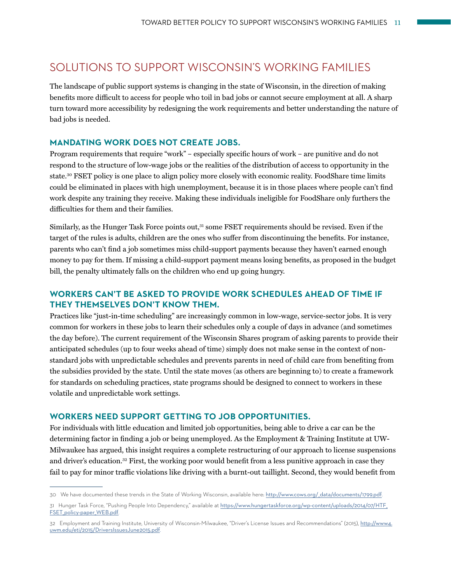# SOLUTIONS TO SUPPORT WISCONSIN'S WORKING FAMILIES

The landscape of public support systems is changing in the state of Wisconsin, in the direction of making benefits more difficult to access for people who toil in bad jobs or cannot secure employment at all. A sharp turn toward more accessibility by redesigning the work requirements and better understanding the nature of bad jobs is needed.

#### **MANDATING WORK DOES NOT CREATE JOBS.**

Program requirements that require "work" – especially specific hours of work – are punitive and do not respond to the structure of low-wage jobs or the realities of the distribution of access to opportunity in the state.30 FSET policy is one place to align policy more closely with economic reality. FoodShare time limits could be eliminated in places with high unemployment, because it is in those places where people can't find work despite any training they receive. Making these individuals ineligible for FoodShare only furthers the difficulties for them and their families.

Similarly, as the Hunger Task Force points out, $31$  some FSET requirements should be revised. Even if the target of the rules is adults, children are the ones who suffer from discontinuing the benefits. For instance, parents who can't find a job sometimes miss child-support payments because they haven't earned enough money to pay for them. If missing a child-support payment means losing benefits, as proposed in the budget bill, the penalty ultimately falls on the children who end up going hungry.

## **WORKERS CAN'T BE ASKED TO PROVIDE WORK SCHEDULES AHEAD OF TIME IF THEY THEMSELVES DON'T KNOW THEM.**

Practices like "just-in-time scheduling" are increasingly common in low-wage, service-sector jobs. It is very common for workers in these jobs to learn their schedules only a couple of days in advance (and sometimes the day before). The current requirement of the Wisconsin Shares program of asking parents to provide their anticipated schedules (up to four weeks ahead of time) simply does not make sense in the context of nonstandard jobs with unpredictable schedules and prevents parents in need of child care from benefiting from the subsidies provided by the state. Until the state moves (as others are beginning to) to create a framework for standards on scheduling practices, state programs should be designed to connect to workers in these volatile and unpredictable work settings.

### **WORKERS NEED SUPPORT GETTING TO JOB OPPORTUNITIES.**

For individuals with little education and limited job opportunities, being able to drive a car can be the determining factor in finding a job or being unemployed. As the Employment & Training Institute at UW-Milwaukee has argued, this insight requires a complete restructuring of our approach to license suspensions and driver's education.<sup>32</sup> First, the working poor would benefit from a less punitive approach in case they fail to pay for minor traffic violations like driving with a burnt-out taillight. Second, they would benefit from

<sup>30</sup> We have documented these trends in the State of Working Wisconsin, available here: [http://www.cows.org/\\_data/documents/1799.pdf](http://www.cows.org/_data/documents/1799.pdf).

<sup>31</sup> Hunger Task Force, "Pushing People Into Dependency," available at [https://www.hungertaskforce.org/wp-content/uploads/2014/07/HTF\\_](https://www.hungertaskforce.org/wp-content/uploads/2014/07/HTF_FSET_policy-paper_WEB.pdf) [FSET\\_policy-paper\\_WEB.pdf](https://www.hungertaskforce.org/wp-content/uploads/2014/07/HTF_FSET_policy-paper_WEB.pdf).

<sup>32</sup> Employment and Training Institute, University of Wisconsin-Milwaukee, "Driver's License Issues and Recommendations" (2015), [http://www4.](http://www4.uwm.edu/eti/2015/DriversIssuesJune2015.pdf) [uwm.edu/eti/2015/DriversIssuesJune2015.pdf](http://www4.uwm.edu/eti/2015/DriversIssuesJune2015.pdf).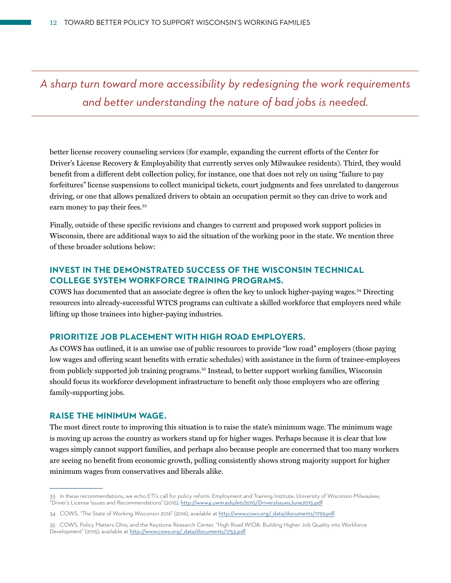*A sharp turn toward more accessibility by redesigning the work requirements and better understanding the nature of bad jobs is needed.*

better license recovery counseling services (for example, expanding the current efforts of the Center for Driver's License Recovery & Employability that currently serves only Milwaukee residents). Third, they would benefit from a different debt collection policy, for instance, one that does not rely on using "failure to pay forfeitures" license suspensions to collect municipal tickets, court judgments and fees unrelated to dangerous driving, or one that allows penalized drivers to obtain an occupation permit so they can drive to work and earn money to pay their fees.<sup>33</sup>

Finally, outside of these specific revisions and changes to current and proposed work support policies in Wisconsin, there are additional ways to aid the situation of the working poor in the state. We mention three of these broader solutions below:

#### **INVEST IN THE DEMONSTRATED SUCCESS OF THE WISCONSIN TECHNICAL COLLEGE SYSTEM WORKFORCE TRAINING PROGRAMS.**

COWS has documented that an associate degree is often the key to unlock higher-paying wages.34 Directing resources into already-successful WTCS programs can cultivate a skilled workforce that employers need while lifting up those trainees into higher-paying industries.

## **PRIORITIZE JOB PLACEMENT WITH HIGH ROAD EMPLOYERS.**

As COWS has outlined, it is an unwise use of public resources to provide "low road" employers (those paying low wages and offering scant benefits with erratic schedules) with assistance in the form of trainee-employees from publicly supported job training programs.35 Instead, to better support working families, Wisconsin should focus its workforce development infrastructure to benefit only those employers who are offering family-supporting jobs.

#### **RAISE THE MINIMUM WAGE.**

The most direct route to improving this situation is to raise the state's minimum wage. The minimum wage is moving up across the country as workers stand up for higher wages. Perhaps because it is clear that low wages simply cannot support families, and perhaps also because people are concerned that too many workers are seeing no benefit from economic growth, polling consistently shows strong majority support for higher minimum wages from conservatives and liberals alike.

<sup>33</sup> In these recommendations, we echo ETI's call for policy reform: Employment and Training Institute, University of Wisconsin-Milwaukee, "Driver's License Issues and Recommendations" (2015), <http://www4.uwm.edu/eti/2015/DriversIssuesJune2015.pdf>

<sup>34</sup> COWS, "The State of Working Wisconsin 2016" (2016), available at [http://www.cows.org/\\_data/documents/1799.pdf](http://www.cows.org/_data/documents/1799.pdf).

<sup>35</sup> COWS, Policy Matters Ohio, and the Keystone Research Center, "High Road WIOA: Building Higher Job Quality into Workforce Development" (2015), available at [http://www.cows.org/\\_data/documents/1753.pdf](http://www.cows.org/_data/documents/1753.pdf).